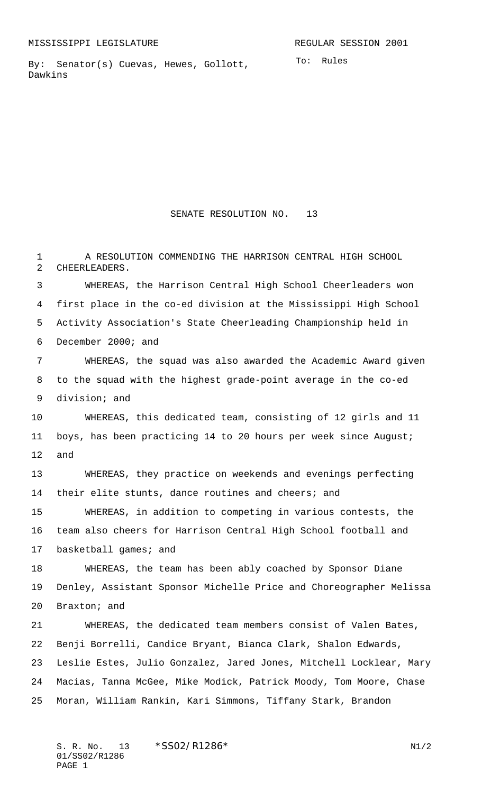By: Senator(s) Cuevas, Hewes, Gollott, Dawkins

SENATE RESOLUTION NO. 13

 A RESOLUTION COMMENDING THE HARRISON CENTRAL HIGH SCHOOL CHEERLEADERS. WHEREAS, the Harrison Central High School Cheerleaders won first place in the co-ed division at the Mississippi High School Activity Association's State Cheerleading Championship held in December 2000; and WHEREAS, the squad was also awarded the Academic Award given to the squad with the highest grade-point average in the co-ed division; and WHEREAS, this dedicated team, consisting of 12 girls and 11 boys, has been practicing 14 to 20 hours per week since August; and WHEREAS, they practice on weekends and evenings perfecting 14 their elite stunts, dance routines and cheers; and WHEREAS, in addition to competing in various contests, the team also cheers for Harrison Central High School football and 17 basketball games; and WHEREAS, the team has been ably coached by Sponsor Diane Denley, Assistant Sponsor Michelle Price and Choreographer Melissa Braxton; and WHEREAS, the dedicated team members consist of Valen Bates, Benji Borrelli, Candice Bryant, Bianca Clark, Shalon Edwards, Leslie Estes, Julio Gonzalez, Jared Jones, Mitchell Locklear, Mary Macias, Tanna McGee, Mike Modick, Patrick Moody, Tom Moore, Chase Moran, William Rankin, Kari Simmons, Tiffany Stark, Brandon